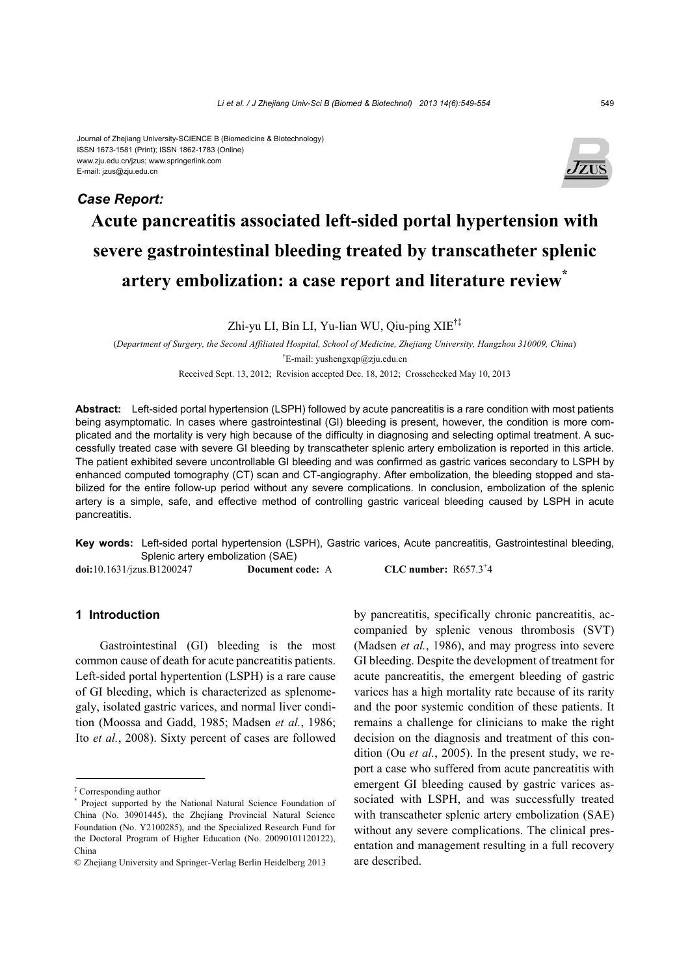#### Journal of Zhejiang University-SCIENCE B (Biomedicine & Biotechnology) ISSN 1673-1581 (Print); ISSN 1862-1783 (Online) www.zju.edu.cn/jzus; www.springerlink.com E-mail: jzus@zju.edu.cn



# **Acute pancreatitis associated left-sided portal hypertension with severe gastrointestinal bleeding treated by transcatheter splenic artery embolization: a case report and literature review\***

Zhi-yu LI, Bin LI, Yu-lian WU, Qiu-ping XIE†‡

(*Department of Surgery, the Second Affiliated Hospital, School of Medicine, Zhejiang University, Hangzhou 310009, China*) † E-mail: yushengxqp@zju.edu.cn

Received Sept. 13, 2012; Revision accepted Dec. 18, 2012; Crosschecked May 10, 2013

**Abstract:** Left-sided portal hypertension (LSPH) followed by acute pancreatitis is a rare condition with most patients being asymptomatic. In cases where gastrointestinal (GI) bleeding is present, however, the condition is more complicated and the mortality is very high because of the difficulty in diagnosing and selecting optimal treatment. A successfully treated case with severe GI bleeding by transcatheter splenic artery embolization is reported in this article. The patient exhibited severe uncontrollable GI bleeding and was confirmed as gastric varices secondary to LSPH by enhanced computed tomography (CT) scan and CT-angiography. After embolization, the bleeding stopped and stabilized for the entire follow-up period without any severe complications. In conclusion, embolization of the splenic artery is a simple, safe, and effective method of controlling gastric variceal bleeding caused by LSPH in acute pancreatitis.

**Key words:** Left-sided portal hypertension (LSPH), Gastric varices, Acute pancreatitis, Gastrointestinal bleeding, Splenic artery embolization (SAE)

**doi:**10.1631/jzus.B1200247 **Document code:** A

CLC number:  $R657.3^+4$ 

## **1 Introduction**

*Case Report:*

Gastrointestinal (GI) bleeding is the most common cause of death for acute pancreatitis patients. Left-sided portal hypertention (LSPH) is a rare cause of GI bleeding, which is characterized as splenomegaly, isolated gastric varices, and normal liver condition (Moossa and Gadd, 1985; Madsen *et al.*, 1986; Ito *et al.*, 2008). Sixty percent of cases are followed

by pancreatitis, specifically chronic pancreatitis, accompanied by splenic venous thrombosis (SVT) (Madsen *et al.*, 1986), and may progress into severe GI bleeding. Despite the development of treatment for acute pancreatitis, the emergent bleeding of gastric varices has a high mortality rate because of its rarity and the poor systemic condition of these patients. It remains a challenge for clinicians to make the right decision on the diagnosis and treatment of this condition (Ou *et al.*, 2005). In the present study, we report a case who suffered from acute pancreatitis with emergent GI bleeding caused by gastric varices associated with LSPH, and was successfully treated with transcatheter splenic artery embolization (SAE) without any severe complications. The clinical presentation and management resulting in a full recovery are described.

<sup>‡</sup> Corresponding author

<sup>\*</sup> Project supported by the National Natural Science Foundation of China (No. 30901445), the Zhejiang Provincial Natural Science Foundation (No. Y2100285), and the Specialized Research Fund for the Doctoral Program of Higher Education (No. 20090101120122), China

<sup>©</sup> Zhejiang University and Springer-Verlag Berlin Heidelberg 2013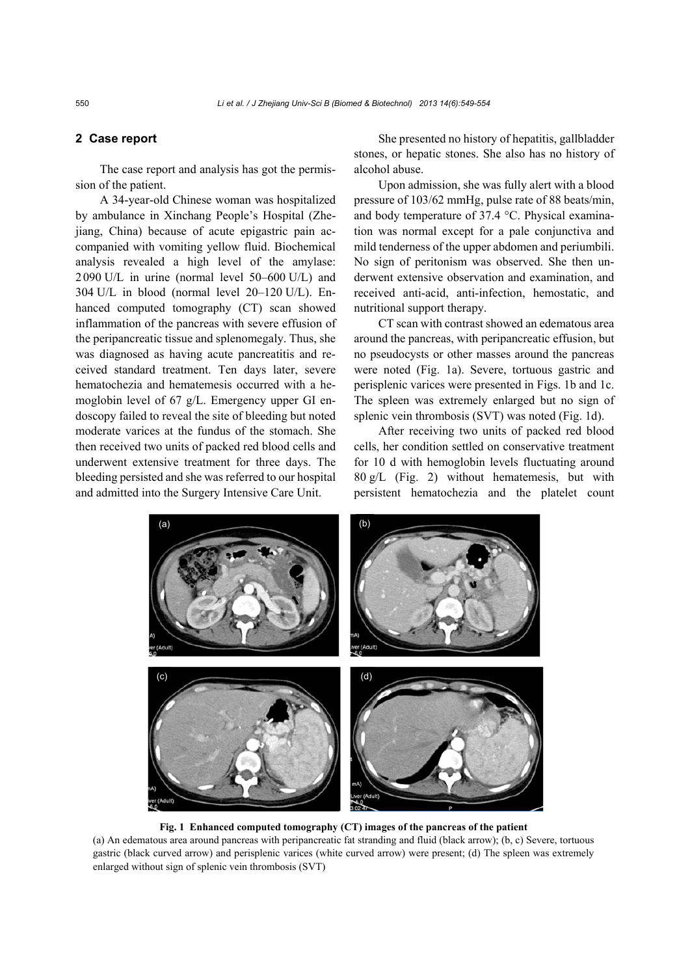## **2 Case report**

The case report and analysis has got the permission of the patient.

A 34-year-old Chinese woman was hospitalized by ambulance in Xinchang People's Hospital (Zhejiang, China) because of acute epigastric pain accompanied with vomiting yellow fluid. Biochemical analysis revealed a high level of the amylase: 2090 U/L in urine (normal level 50–600 U/L) and 304 U/L in blood (normal level 20–120 U/L). Enhanced computed tomography (CT) scan showed inflammation of the pancreas with severe effusion of the peripancreatic tissue and splenomegaly. Thus, she was diagnosed as having acute pancreatitis and received standard treatment. Ten days later, severe hematochezia and hematemesis occurred with a hemoglobin level of 67 g/L. Emergency upper GI endoscopy failed to reveal the site of bleeding but noted moderate varices at the fundus of the stomach. She then received two units of packed red blood cells and underwent extensive treatment for three days. The bleeding persisted and she was referred to our hospital and admitted into the Surgery Intensive Care Unit.

She presented no history of hepatitis, gallbladder stones, or hepatic stones. She also has no history of alcohol abuse.

Upon admission, she was fully alert with a blood pressure of 103/62 mmHg, pulse rate of 88 beats/min, and body temperature of 37.4 °C. Physical examination was normal except for a pale conjunctiva and mild tenderness of the upper abdomen and periumbili. No sign of peritonism was observed. She then underwent extensive observation and examination, and received anti-acid, anti-infection, hemostatic, and nutritional support therapy.

CT scan with contrast showed an edematous area around the pancreas, with peripancreatic effusion, but no pseudocysts or other masses around the pancreas were noted (Fig. 1a). Severe, tortuous gastric and perisplenic varices were presented in Figs. 1b and 1c. The spleen was extremely enlarged but no sign of splenic vein thrombosis (SVT) was noted (Fig. 1d).

After receiving two units of packed red blood cells, her condition settled on conservative treatment for 10 d with hemoglobin levels fluctuating around 80 g/L (Fig. 2) without hematemesis, but with persistent hematochezia and the platelet count



**Fig. 1 Enhanced computed tomography (CT) images of the pancreas of the patient**  (a) An edematous area around pancreas with peripancreatic fat stranding and fluid (black arrow); (b, c) Severe, tortuous gastric (black curved arrow) and perisplenic varices (white curved arrow) were present; (d) The spleen was extremely enlarged without sign of splenic vein thrombosis (SVT)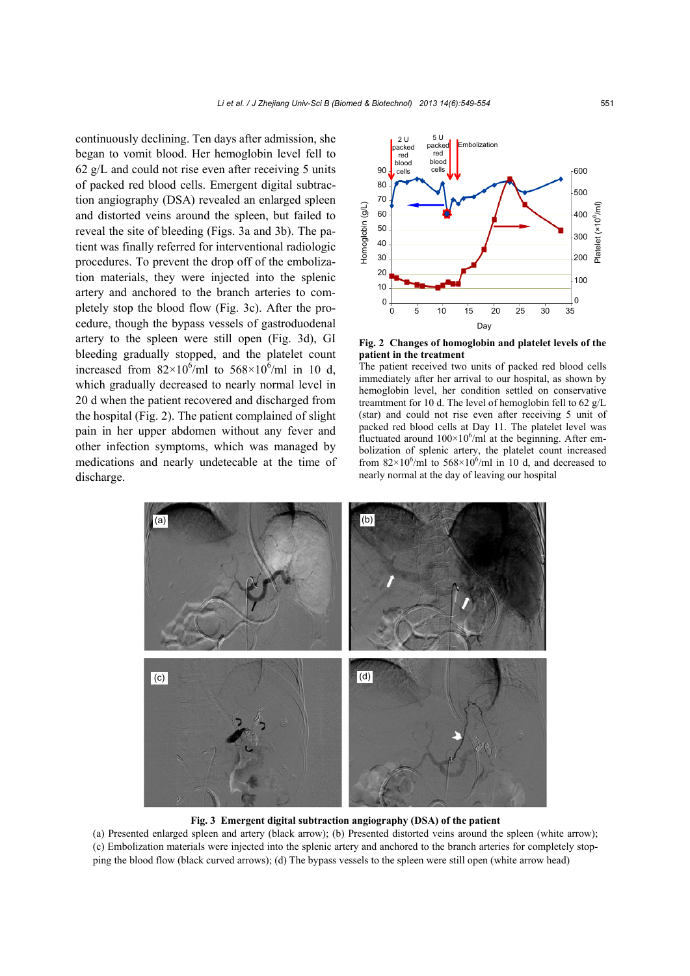continuously declining. Ten days after admission, she began to vomit blood. Her hemoglobin level fell to 62 g/L and could not rise even after receiving 5 units of packed red blood cells. Emergent digital subtraction angiography (DSA) revealed an enlarged spleen and distorted veins around the spleen, but failed to reveal the site of bleeding (Figs. 3a and 3b). The patient was finally referred for interventional radiologic procedures. To prevent the drop off of the embolization materials, they were injected into the splenic artery and anchored to the branch arteries to completely stop the blood flow (Fig. 3c). After the procedure, though the bypass vessels of gastroduodenal artery to the spleen were still open (Fig. 3d), GI bleeding gradually stopped, and the platelet count increased from  $82 \times 10^6$ /ml to  $568 \times 10^6$ /ml in 10 d, which gradually decreased to nearly normal level in 20 d when the patient recovered and discharged from the hospital (Fig. 2). The patient complained of slight pain in her upper abdomen without any fever and other infection symptoms, which was managed by medications and nearly undetecable at the time of discharge.





The patient received two units of packed red blood cells immediately after her arrival to our hospital, as shown by hemoglobin level, her condition settled on conservative treamtment for 10 d. The level of hemoglobin fell to 62 g/L (star) and could not rise even after receiving 5 unit of packed red blood cells at Day 11. The platelet level was fluctuated around  $100\times10^6$ /ml at the beginning. After embolization of splenic artery, the platelet count increased from  $82\times10^6$ /ml to  $568\times10^6$ /ml in 10 d, and decreased to nearly normal at the day of leaving our hospital



#### **Fig. 3 Emergent digital subtraction angiography (DSA) of the patient**

(a) Presented enlarged spleen and artery (black arrow); (b) Presented distorted veins around the spleen (white arrow); (c) Embolization materials were injected into the splenic artery and anchored to the branch arteries for completely stopping the blood flow (black curved arrows); (d) The bypass vessels to the spleen were still open (white arrow head)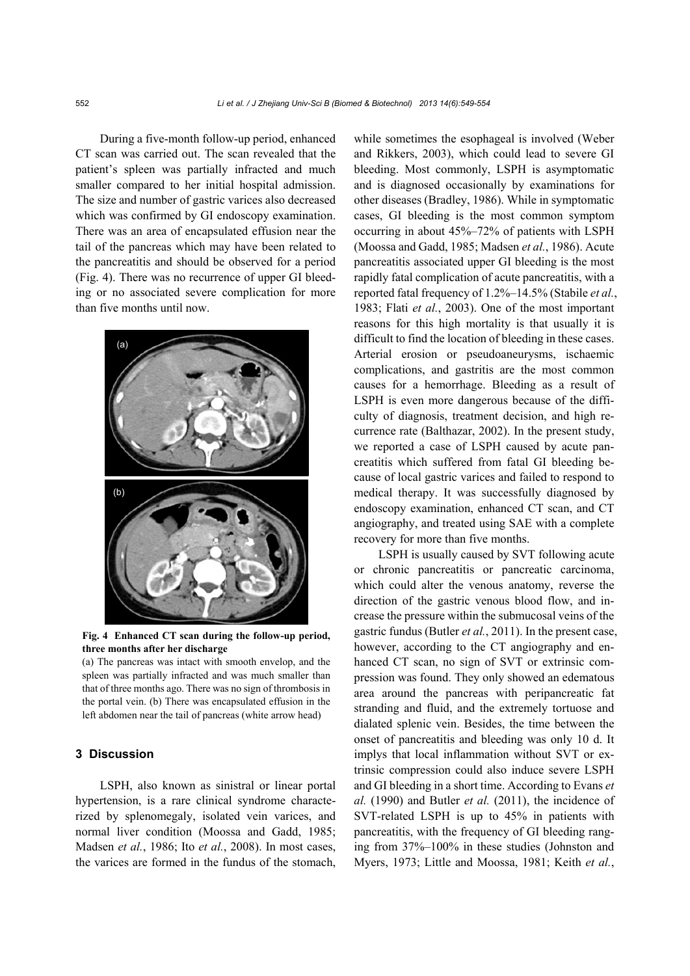During a five-month follow-up period, enhanced CT scan was carried out. The scan revealed that the patient's spleen was partially infracted and much smaller compared to her initial hospital admission. The size and number of gastric varices also decreased which was confirmed by GI endoscopy examination. There was an area of encapsulated effusion near the tail of the pancreas which may have been related to the pancreatitis and should be observed for a period (Fig. 4). There was no recurrence of upper GI bleeding or no associated severe complication for more than five months until now.



**Fig. 4 Enhanced CT scan during the follow-up period, three months after her discharge** 

(a) The pancreas was intact with smooth envelop, and the spleen was partially infracted and was much smaller than that of three months ago. There was no sign of thrombosis in the portal vein. (b) There was encapsulated effusion in the left abdomen near the tail of pancreas (white arrow head)

## **3 Discussion**

LSPH, also known as sinistral or linear portal hypertension, is a rare clinical syndrome characterized by splenomegaly, isolated vein varices, and normal liver condition (Moossa and Gadd, 1985; Madsen *et al.*, 1986; Ito *et al.*, 2008). In most cases, the varices are formed in the fundus of the stomach,

while sometimes the esophageal is involved (Weber and Rikkers, 2003), which could lead to severe GI bleeding. Most commonly, LSPH is asymptomatic and is diagnosed occasionally by examinations for other diseases (Bradley, 1986). While in symptomatic cases, GI bleeding is the most common symptom occurring in about 45%–72% of patients with LSPH (Moossa and Gadd, 1985; Madsen *et al.*, 1986). Acute pancreatitis associated upper GI bleeding is the most rapidly fatal complication of acute pancreatitis, with a reported fatal frequency of 1.2%–14.5% (Stabile *et al.*, 1983; Flati *et al.*, 2003). One of the most important reasons for this high mortality is that usually it is difficult to find the location of bleeding in these cases. Arterial erosion or pseudoaneurysms, ischaemic complications, and gastritis are the most common causes for a hemorrhage. Bleeding as a result of LSPH is even more dangerous because of the difficulty of diagnosis, treatment decision, and high recurrence rate (Balthazar, 2002). In the present study, we reported a case of LSPH caused by acute pancreatitis which suffered from fatal GI bleeding because of local gastric varices and failed to respond to medical therapy. It was successfully diagnosed by endoscopy examination, enhanced CT scan, and CT angiography, and treated using SAE with a complete recovery for more than five months.

LSPH is usually caused by SVT following acute or chronic pancreatitis or pancreatic carcinoma, which could alter the venous anatomy, reverse the direction of the gastric venous blood flow, and increase the pressure within the submucosal veins of the gastric fundus (Butler *et al.*, 2011). In the present case, however, according to the CT angiography and enhanced CT scan, no sign of SVT or extrinsic compression was found. They only showed an edematous area around the pancreas with peripancreatic fat stranding and fluid, and the extremely tortuose and dialated splenic vein. Besides, the time between the onset of pancreatitis and bleeding was only 10 d. It implys that local inflammation without SVT or extrinsic compression could also induce severe LSPH and GI bleeding in a short time. According to Evans *et al.* (1990) and Butler *et al.* (2011), the incidence of SVT-related LSPH is up to 45% in patients with pancreatitis, with the frequency of GI bleeding ranging from 37%–100% in these studies (Johnston and Myers, 1973; Little and Moossa, 1981; Keith *et al.*,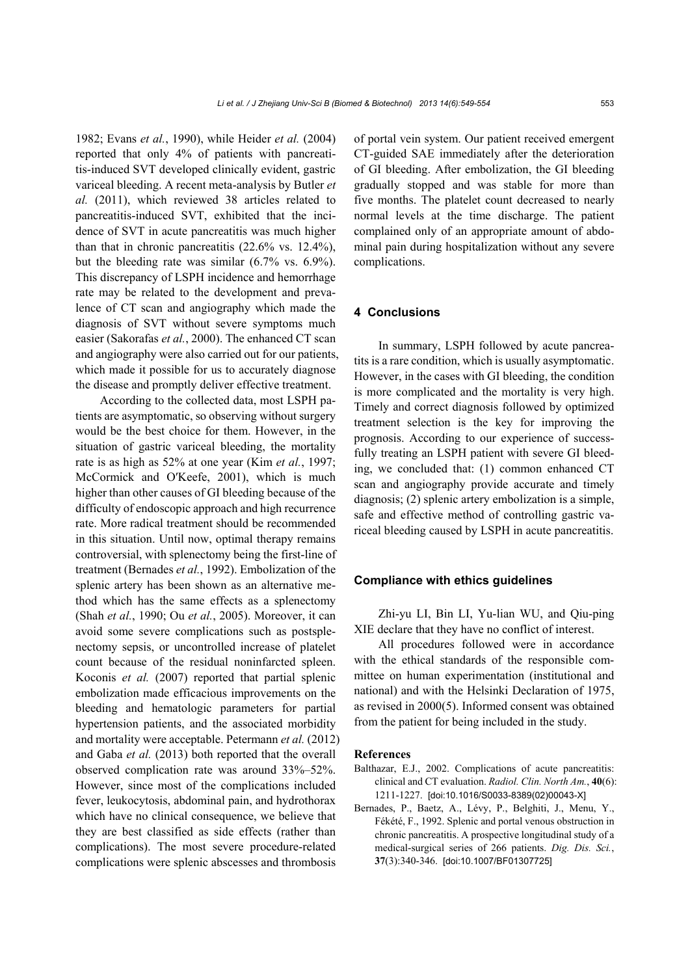1982; Evans *et al.*, 1990), while Heider *et al.* (2004) reported that only 4% of patients with pancreatitis-induced SVT developed clinically evident, gastric variceal bleeding. A recent meta-analysis by Butler *et al.* (2011), which reviewed 38 articles related to pancreatitis-induced SVT, exhibited that the incidence of SVT in acute pancreatitis was much higher than that in chronic pancreatitis (22.6% vs. 12.4%), but the bleeding rate was similar (6.7% vs. 6.9%). This discrepancy of LSPH incidence and hemorrhage rate may be related to the development and prevalence of CT scan and angiography which made the diagnosis of SVT without severe symptoms much easier (Sakorafas *et al.*, 2000). The enhanced CT scan and angiography were also carried out for our patients, which made it possible for us to accurately diagnose the disease and promptly deliver effective treatment.

According to the collected data, most LSPH patients are asymptomatic, so observing without surgery would be the best choice for them. However, in the situation of gastric variceal bleeding, the mortality rate is as high as 52% at one year (Kim *et al.*, 1997; McCormick and O′Keefe, 2001), which is much higher than other causes of GI bleeding because of the difficulty of endoscopic approach and high recurrence rate. More radical treatment should be recommended in this situation. Until now, optimal therapy remains controversial, with splenectomy being the first-line of treatment (Bernades *et al.*, 1992). Embolization of the splenic artery has been shown as an alternative method which has the same effects as a splenectomy (Shah *et al.*, 1990; Ou *et al.*, 2005). Moreover, it can avoid some severe complications such as postsplenectomy sepsis, or uncontrolled increase of platelet count because of the residual noninfarcted spleen. Koconis *et al.* (2007) reported that partial splenic embolization made efficacious improvements on the bleeding and hematologic parameters for partial hypertension patients, and the associated morbidity and mortality were acceptable. Petermann *et al.* (2012) and Gaba *et al.* (2013) both reported that the overall observed complication rate was around 33%–52%. However, since most of the complications included fever, leukocytosis, abdominal pain, and hydrothorax which have no clinical consequence, we believe that they are best classified as side effects (rather than complications). The most severe procedure-related complications were splenic abscesses and thrombosis

of portal vein system. Our patient received emergent CT-guided SAE immediately after the deterioration of GI bleeding. After embolization, the GI bleeding gradually stopped and was stable for more than five months. The platelet count decreased to nearly normal levels at the time discharge. The patient complained only of an appropriate amount of abdominal pain during hospitalization without any severe complications.

## **4 Conclusions**

In summary, LSPH followed by acute pancreatits is a rare condition, which is usually asymptomatic. However, in the cases with GI bleeding, the condition is more complicated and the mortality is very high. Timely and correct diagnosis followed by optimized treatment selection is the key for improving the prognosis. According to our experience of successfully treating an LSPH patient with severe GI bleeding, we concluded that: (1) common enhanced CT scan and angiography provide accurate and timely diagnosis; (2) splenic artery embolization is a simple, safe and effective method of controlling gastric variceal bleeding caused by LSPH in acute pancreatitis.

## **Compliance with ethics guidelines**

Zhi-yu LI, Bin LI, Yu-lian WU, and Qiu-ping XIE declare that they have no conflict of interest.

All procedures followed were in accordance with the ethical standards of the responsible committee on human experimentation (institutional and national) and with the Helsinki Declaration of 1975, as revised in 2000(5). Informed consent was obtained from the patient for being included in the study.

### **References**

- Balthazar, E.J., 2002. Complications of acute pancreatitis: clinical and CT evaluation. *Radiol. Clin. North Am.*, **40**(6): 1211-1227. [doi:10.1016/S0033-8389(02)00043-X]
- Bernades, P., Baetz, A., Lévy, P., Belghiti, J., Menu, Y., Fékété, F., 1992. Splenic and portal venous obstruction in chronic pancreatitis. A prospective longitudinal study of a medical-surgical series of 266 patients. *Dig. Dis. Sci.*, **37**(3):340-346. [doi:10.1007/BF01307725]